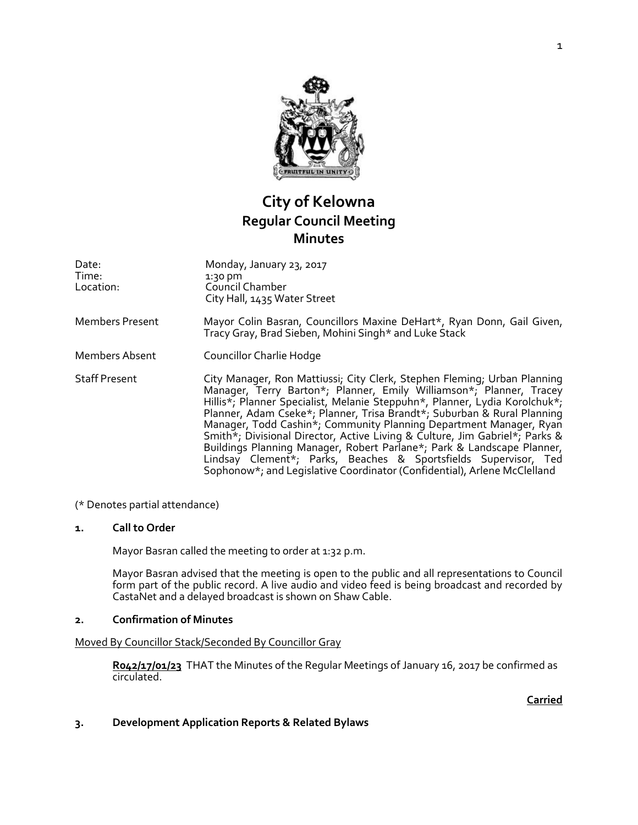

# **City of Kelowna Regular Council Meeting Minutes**

| Date:<br>Time:<br>Location: | Monday, January 23, 2017<br>$1:30$ pm<br>Council Chamber<br>City Hall, 1435 Water Street                                                                                                                                                                                                                                                                                                                                                                                                                                                                                                                                                                                               |
|-----------------------------|----------------------------------------------------------------------------------------------------------------------------------------------------------------------------------------------------------------------------------------------------------------------------------------------------------------------------------------------------------------------------------------------------------------------------------------------------------------------------------------------------------------------------------------------------------------------------------------------------------------------------------------------------------------------------------------|
| <b>Members Present</b>      | Mayor Colin Basran, Councillors Maxine DeHart*, Ryan Donn, Gail Given,<br>Tracy Gray, Brad Sieben, Mohini Singh* and Luke Stack                                                                                                                                                                                                                                                                                                                                                                                                                                                                                                                                                        |
| Members Absent              | Councillor Charlie Hodge                                                                                                                                                                                                                                                                                                                                                                                                                                                                                                                                                                                                                                                               |
| <b>Staff Present</b>        | City Manager, Ron Mattiussi; City Clerk, Stephen Fleming; Urban Planning<br>Manager, Terry Barton*; Planner, Emily Williamson*; Planner, Tracey<br>Hillis*; Planner Specialist, Melanie Steppuhn*, Planner, Lydia Korolchuk*;<br>Planner, Adam Cseke*; Planner, Trisa Brandt*; Suburban & Rural Planning<br>Manager, Todd Cashin*; Community Planning Department Manager, Ryan<br>Smith*; Divisional Director, Active Living & Culture, Jim Gabriel*; Parks &<br>Buildings Planning Manager, Robert Parlane*; Park & Landscape Planner,<br>Lindsay Clement*; Parks, Beaches & Sportsfields Supervisor, Ted<br>Sophonow*; and Legislative Coordinator (Confidential), Arlene McClelland |

(\* Denotes partial attendance)

### **1. Call to Order**

Mayor Basran called the meeting to order at 1:32 p.m.

Mayor Basran advised that the meeting is open to the public and all representations to Council form part of the public record. A live audio and video feed is being broadcast and recorded by CastaNet and a delayed broadcast is shown on Shaw Cable.

#### **2. Confirmation of Minutes**

#### Moved By Councillor Stack/Seconded By Councillor Gray

**R042/17/01/23** THAT the Minutes of the Regular Meetings of January 16, 2017 be confirmed as circulated.

**Carried**

# **3. Development Application Reports & Related Bylaws**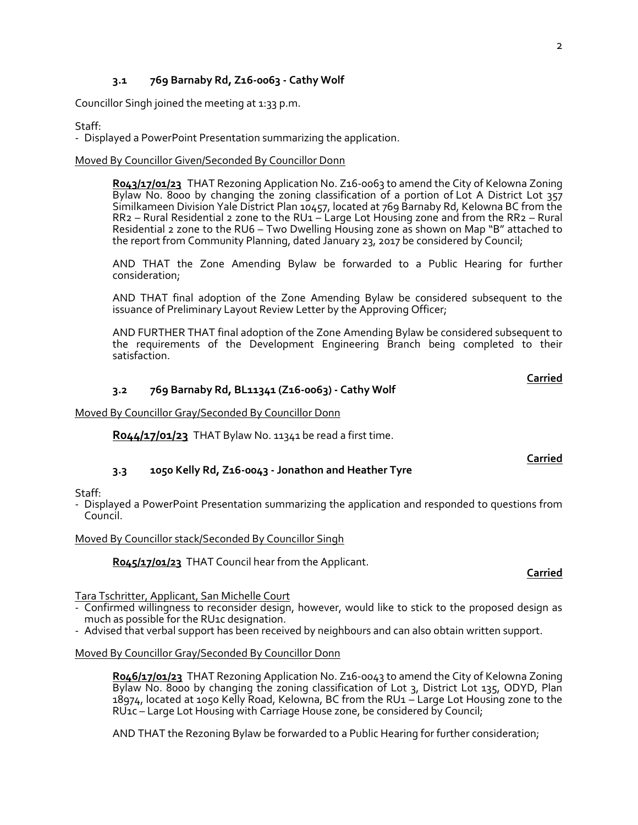# **3.1 769 Barnaby Rd, Z16-0063 - Cathy Wolf**

Councillor Singh joined the meeting at 1:33 p.m.

# Staff:

- Displayed a PowerPoint Presentation summarizing the application.

# Moved By Councillor Given/Seconded By Councillor Donn

**R043/17/01/23** THAT Rezoning Application No. Z16-0063 to amend the City of Kelowna Zoning Bylaw No. 8000 by changing the zoning classification of a portion of Lot A District Lot 357 Similkameen Division Yale District Plan 10457, located at 769 Barnaby Rd, Kelowna BC from the RR2 – Rural Residential 2 zone to the RU1 – Large Lot Housing zone and from the RR2 – Rural Residential 2 zone to the RU6 – Two Dwelling Housing zone as shown on Map "B" attached to the report from Community Planning, dated January 23, 2017 be considered by Council;

AND THAT the Zone Amending Bylaw be forwarded to a Public Hearing for further consideration;

AND THAT final adoption of the Zone Amending Bylaw be considered subsequent to the issuance of Preliminary Layout Review Letter by the Approving Officer;

AND FURTHER THAT final adoption of the Zone Amending Bylaw be considered subsequent to the requirements of the Development Engineering Branch being completed to their satisfaction.

# **3.2 769 Barnaby Rd, BL11341 (Z16-0063) - Cathy Wolf**

Moved By Councillor Gray/Seconded By Councillor Donn

**R044/17/01/23** THAT Bylaw No. 11341 be read a first time.

# **3.3 1050 Kelly Rd, Z16-0043 - Jonathon and Heather Tyre**

Staff:

- Displayed a PowerPoint Presentation summarizing the application and responded to questions from Council.

Moved By Councillor stack/Seconded By Councillor Singh

**R045/17/01/23** THAT Council hear from the Applicant.

# Tara Tschritter, Applicant, San Michelle Court

- Confirmed willingness to reconsider design, however, would like to stick to the proposed design as much as possible for the RU1c designation.

- Advised that verbal support has been received by neighbours and can also obtain written support.

### Moved By Councillor Gray/Seconded By Councillor Donn

**R046/17/01/23** THAT Rezoning Application No. Z16-0043 to amend the City of Kelowna Zoning Bylaw No. 8000 by changing the zoning classification of Lot 3, District Lot 135, ODYD, Plan 18974, located at 1050 Kelly Road, Kelowna, BC from the RU1 – Large Lot Housing zone to the RU1c – Large Lot Housing with Carriage House zone, be considered by Council;

AND THAT the Rezoning Bylaw be forwarded to a Public Hearing for further consideration;

# **Carried**

**Carried**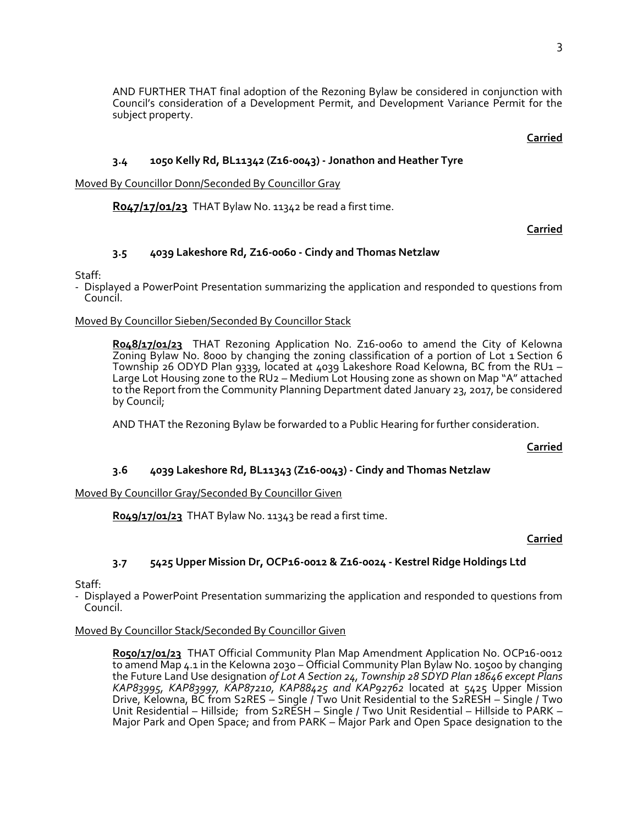AND FURTHER THAT final adoption of the Rezoning Bylaw be considered in conjunction with Council's consideration of a Development Permit, and Development Variance Permit for the subject property.

**Carried**

# **3.4 1050 Kelly Rd, BL11342 (Z16-0043) - Jonathon and Heather Tyre**

Moved By Councillor Donn/Seconded By Councillor Gray

**R047/17/01/23** THAT Bylaw No. 11342 be read a first time.

### **Carried**

### **3.5 4039 Lakeshore Rd, Z16-0060 - Cindy and Thomas Netzlaw**

Staff:

- Displayed a PowerPoint Presentation summarizing the application and responded to questions from Council.

#### Moved By Councillor Sieben/Seconded By Councillor Stack

**R048/17/01/23** THAT Rezoning Application No. Z16-0060 to amend the City of Kelowna Zoning Bylaw No. 8000 by changing the zoning classification of a portion of Lot 1 Section 6 Township 26 ODYD Plan 9339, located at 4039 Lakeshore Road Kelowna, BC from the RU1 – Large Lot Housing zone to the RU2 – Medium Lot Housing zone as shown on Map "A" attached to the Report from the Community Planning Department dated January 23, 2017, be considered by Council;

AND THAT the Rezoning Bylaw be forwarded to a Public Hearing for further consideration.

**Carried**

### **3.6 4039 Lakeshore Rd, BL11343 (Z16-0043) - Cindy and Thomas Netzlaw**

#### Moved By Councillor Gray/Seconded By Councillor Given

**R049/17/01/23** THAT Bylaw No. 11343 be read a first time.

### **Carried**

### **3.7 5425 Upper Mission Dr, OCP16-0012 & Z16-0024 - Kestrel Ridge Holdings Ltd**

Staff:

- Displayed a PowerPoint Presentation summarizing the application and responded to questions from Council.

#### Moved By Councillor Stack/Seconded By Councillor Given

**R050/17/01/23** THAT Official Community Plan Map Amendment Application No. OCP16-0012 to amend Map 4.1 in the Kelowna 2030 – Official Community Plan Bylaw No. 10500 by changing the Future Land Use designation *of Lot A Section 24, Township 28 SDYD Plan 18646 except Plans KAP83995, KAP83997, KAP87210, KAP88425 and KAP92762* located at 5425 Upper Mission Drive, Kelowna, BC from S2RES – Single / Two Unit Residential to the S2RESH – Single / Two Unit Residential – Hillside; from S2RESH – Single / Two Unit Residential – Hillside to PARK – Major Park and Open Space; and from PARK – Major Park and Open Space designation to the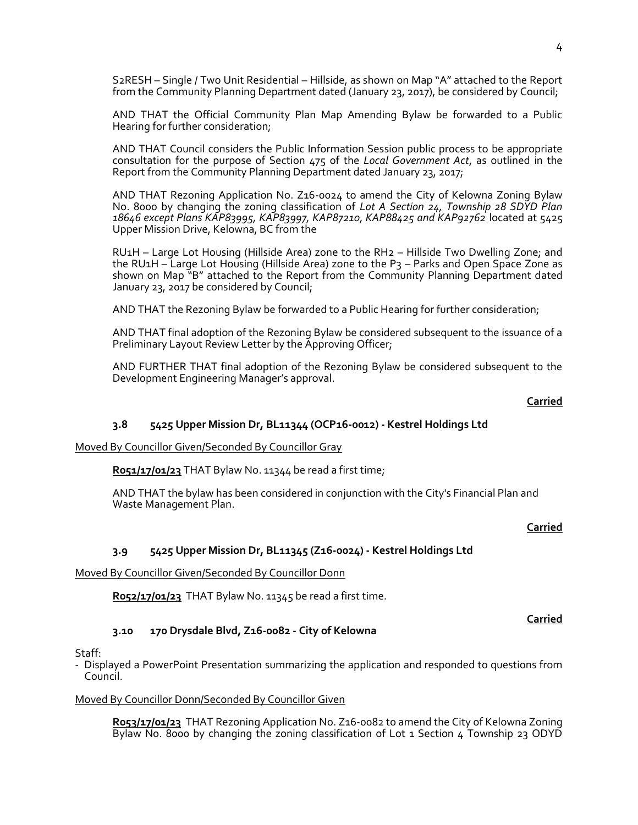S2RESH – Single / Two Unit Residential – Hillside, as shown on Map "A" attached to the Report from the Community Planning Department dated (January 23, 2017), be considered by Council;

AND THAT the Official Community Plan Map Amending Bylaw be forwarded to a Public Hearing for further consideration;

AND THAT Council considers the Public Information Session public process to be appropriate consultation for the purpose of Section 475 of the *Local Government Act*, as outlined in the Report from the Community Planning Department dated January 23, 2017;

AND THAT Rezoning Application No. Z16-0024 to amend the City of Kelowna Zoning Bylaw No. 8000 by changing the zoning classification of *Lot A Section 24, Township 28 SDYD Plan 18646 except Plans KAP83995, KAP83997, KAP87210, KAP88425 and KAP92762* located at 5425 Upper Mission Drive, Kelowna, BC from the

RU1H – Large Lot Housing (Hillside Area) zone to the RH2 – Hillside Two Dwelling Zone; and the RU1H – Large Lot Housing (Hillside Area) zone to the P3 – Parks and Open Space Zone as shown on Map "B" attached to the Report from the Community Planning Department dated January 23, 2017 be considered by Council;

AND THAT the Rezoning Bylaw be forwarded to a Public Hearing for further consideration;

AND THAT final adoption of the Rezoning Bylaw be considered subsequent to the issuance of a Preliminary Layout Review Letter by the Approving Officer;

AND FURTHER THAT final adoption of the Rezoning Bylaw be considered subsequent to the Development Engineering Manager's approval.

#### **Carried**

### **3.8 5425 Upper Mission Dr, BL11344 (OCP16-0012) - Kestrel Holdings Ltd**

Moved By Councillor Given/Seconded By Councillor Gray

**R051/17/01/23** THAT Bylaw No. 11344 be read a first time;

AND THAT the bylaw has been considered in conjunction with the City's Financial Plan and Waste Management Plan.

### **Carried**

### **3.9 5425 Upper Mission Dr, BL11345 (Z16-0024) - Kestrel Holdings Ltd**

Moved By Councillor Given/Seconded By Councillor Donn

**R052/17/01/23** THAT Bylaw No. 11345 be read a first time.

### **3.10 170 Drysdale Blvd, Z16-0082 - City of Kelowna**

#### Staff:

- Displayed a PowerPoint Presentation summarizing the application and responded to questions from Council.

#### Moved By Councillor Donn/Seconded By Councillor Given

**R053/17/01/23** THAT Rezoning Application No. Z16-0082 to amend the City of Kelowna Zoning Bylaw No. 8000 by changing the zoning classification of Lot 1 Section 4 Township 23 ODYD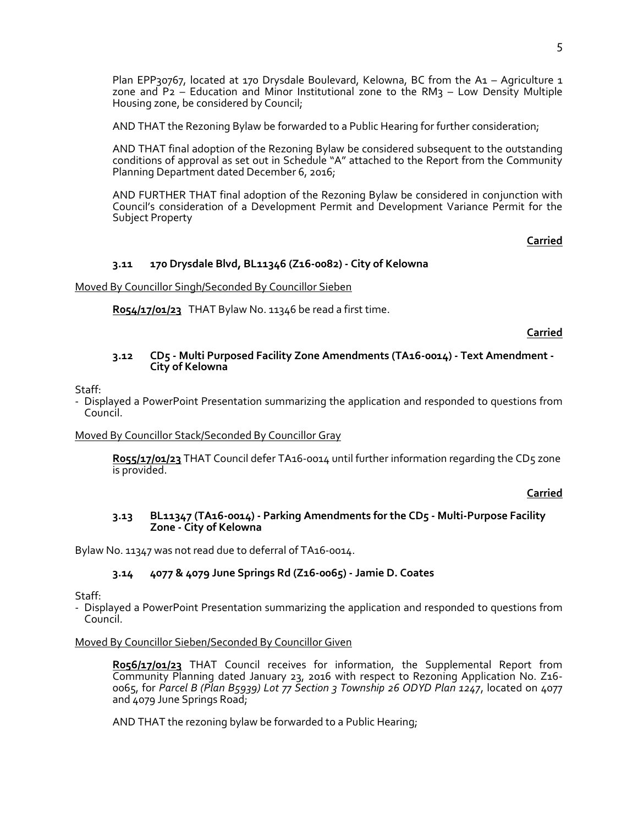Plan EPP30767, located at 170 Drysdale Boulevard, Kelowna, BC from the A1 – Agriculture 1 zone and  $P_2$  – Education and Minor Institutional zone to the RM3 – Low Density Multiple Housing zone, be considered by Council;

AND THAT the Rezoning Bylaw be forwarded to a Public Hearing for further consideration;

AND THAT final adoption of the Rezoning Bylaw be considered subsequent to the outstanding conditions of approval as set out in Schedule "A" attached to the Report from the Community Planning Department dated December 6, 2016;

AND FURTHER THAT final adoption of the Rezoning Bylaw be considered in conjunction with Council's consideration of a Development Permit and Development Variance Permit for the Subject Property

**Carried**

### **3.11 170 Drysdale Blvd, BL11346 (Z16-0082) - City of Kelowna**

Moved By Councillor Singh/Seconded By Councillor Sieben

**R054/17/01/23** THAT Bylaw No. 11346 be read a first time.

**Carried**

#### **3.12 CD5 - Multi Purposed Facility Zone Amendments (TA16-0014) - Text Amendment - City of Kelowna**

Staff:

- Displayed a PowerPoint Presentation summarizing the application and responded to questions from Council.

#### Moved By Councillor Stack/Seconded By Councillor Gray

**R055/17/01/23** THAT Council defer TA16-0014 until further information regarding the CD5 zone is provided.

**Carried**

#### **3.13 BL11347 (TA16-0014) - Parking Amendments for the CD5 - Multi-Purpose Facility Zone - City of Kelowna**

Bylaw No. 11347 was not read due to deferral of TA16-0014.

### **3.14 4077 & 4079 June Springs Rd (Z16-0065) - Jamie D. Coates**

Staff:

- Displayed a PowerPoint Presentation summarizing the application and responded to questions from Council.

#### Moved By Councillor Sieben/Seconded By Councillor Given

**R056/17/01/23** THAT Council receives for information, the Supplemental Report from Community Planning dated January 23, 2016 with respect to Rezoning Application No. Z16- 0065, for *Parcel B (Plan B5939) Lot 77 Section 3 Township 26 ODYD Plan 1247*, located on 4077 and 4079 June Springs Road;

AND THAT the rezoning bylaw be forwarded to a Public Hearing;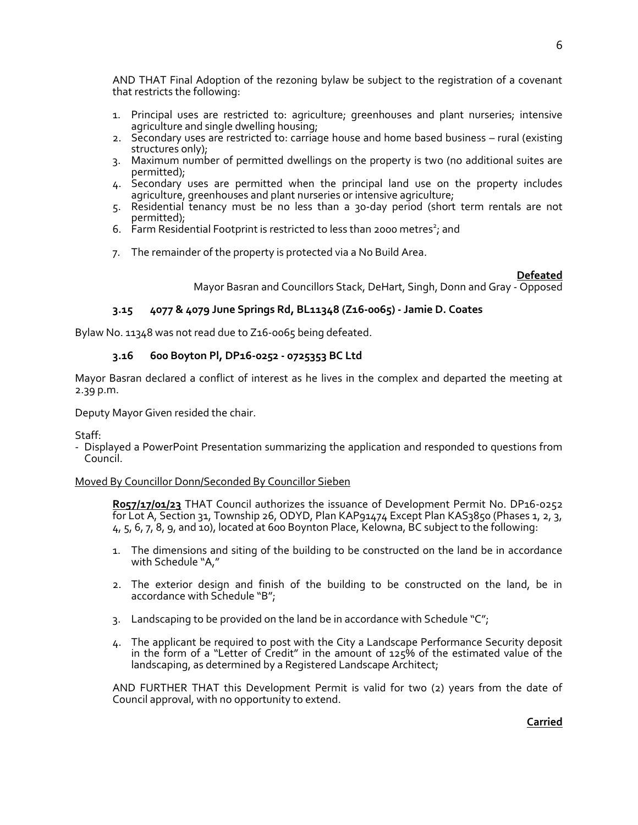AND THAT Final Adoption of the rezoning bylaw be subject to the registration of a covenant that restricts the following:

- 1. Principal uses are restricted to: agriculture; greenhouses and plant nurseries; intensive agriculture and single dwelling housing;
- 2. Secondary uses are restricted to: carriage house and home based business rural (existing structures only);
- 3. Maximum number of permitted dwellings on the property is two (no additional suites are permitted);
- 4. Secondary uses are permitted when the principal land use on the property includes agriculture, greenhouses and plant nurseries or intensive agriculture;
- 5. Residential tenancy must be no less than a 30-day period (short term rentals are not permitted);
- 6. Farm Residential Footprint is restricted to less than 2000 metres<sup>2</sup>; and
- 7. The remainder of the property is protected via a No Build Area.

**Defeated**

Mayor Basran and Councillors Stack, DeHart, Singh, Donn and Gray - Opposed

# **3.15 4077 & 4079 June Springs Rd, BL11348 (Z16-0065) - Jamie D. Coates**

Bylaw No. 11348 was not read due to Z16-0065 being defeated.

# **3.16 600 Boyton Pl, DP16-0252 - 0725353 BC Ltd**

Mayor Basran declared a conflict of interest as he lives in the complex and departed the meeting at 2.39 p.m.

Deputy Mayor Given resided the chair.

Staff:

- Displayed a PowerPoint Presentation summarizing the application and responded to questions from Council.

### Moved By Councillor Donn/Seconded By Councillor Sieben

**R057/17/01/23** THAT Council authorizes the issuance of Development Permit No. DP16-0252 for Lot A, Section 31, Township 26, ODYD, Plan KAP91474 Except Plan KAS3850 (Phases 1, 2, 3, 4, 5, 6, 7, 8, 9, and 10), located at 600 Boynton Place, Kelowna, BC subject to the following:

- 1. The dimensions and siting of the building to be constructed on the land be in accordance with Schedule "A,"
- 2. The exterior design and finish of the building to be constructed on the land, be in accordance with Schedule "B";
- 3. Landscaping to be provided on the land be in accordance with Schedule " $C$ ";
- 4. The applicant be required to post with the City a Landscape Performance Security deposit in the form of a "Letter of Credit" in the amount of  $125\%$  of the estimated value of the landscaping, as determined by a Registered Landscape Architect;

AND FURTHER THAT this Development Permit is valid for two (2) years from the date of Council approval, with no opportunity to extend.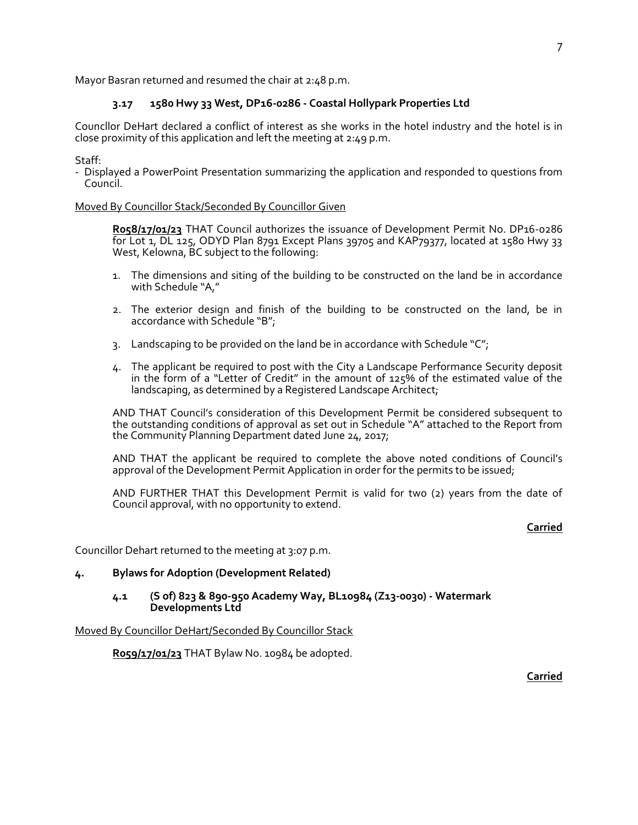Mayor Basran returned and resumed the chair at 2:48 p.m.

# **3.17 1580 Hwy 33 West, DP16-0286 - Coastal Hollypark Properties Ltd**

Councllor DeHart declared a conflict of interest as she works in the hotel industry and the hotel is in close proximity of this application and left the meeting at 2:49 p.m.

Staff:

- Displayed a PowerPoint Presentation summarizing the application and responded to questions from Council.

#### Moved By Councillor Stack/Seconded By Councillor Given

**R058/17/01/23** THAT Council authorizes the issuance of Development Permit No. DP16-0286 for Lot 1, DL 125, ODYD Plan 8791 Except Plans 39705 and KAP79377, located at 1580 Hwy 33 West, Kelowna, BC subject to the following:

- 1. The dimensions and siting of the building to be constructed on the land be in accordance with Schedule "A,"
- 2. The exterior design and finish of the building to be constructed on the land, be in accordance with Schedule "B";
- 3. Landscaping to be provided on the land be in accordance with Schedule " $C$ ";
- 4. The applicant be required to post with the City a Landscape Performance Security deposit in the form of a "Letter of Credit" in the amount of  $125\%$  of the estimated value of the landscaping, as determined by a Registered Landscape Architect;

AND THAT Council's consideration of this Development Permit be considered subsequent to the outstanding conditions of approval as set out in Schedule "A" attached to the Report from the Community Planning Department dated June 24, 2017;

AND THAT the applicant be required to complete the above noted conditions of Council's approval of the Development Permit Application in order for the permits to be issued;

AND FURTHER THAT this Development Permit is valid for two (2) years from the date of Council approval, with no opportunity to extend.

### **Carried**

Councillor Dehart returned to the meeting at 3:07 p.m.

### **4. Bylaws for Adoption (Development Related)**

#### **4.1 (S of) 823 & 890-950 Academy Way, BL10984 (Z13-0030) - Watermark Developments Ltd**

Moved By Councillor DeHart/Seconded By Councillor Stack

**R059/17/01/23** THAT Bylaw No. 10984 be adopted.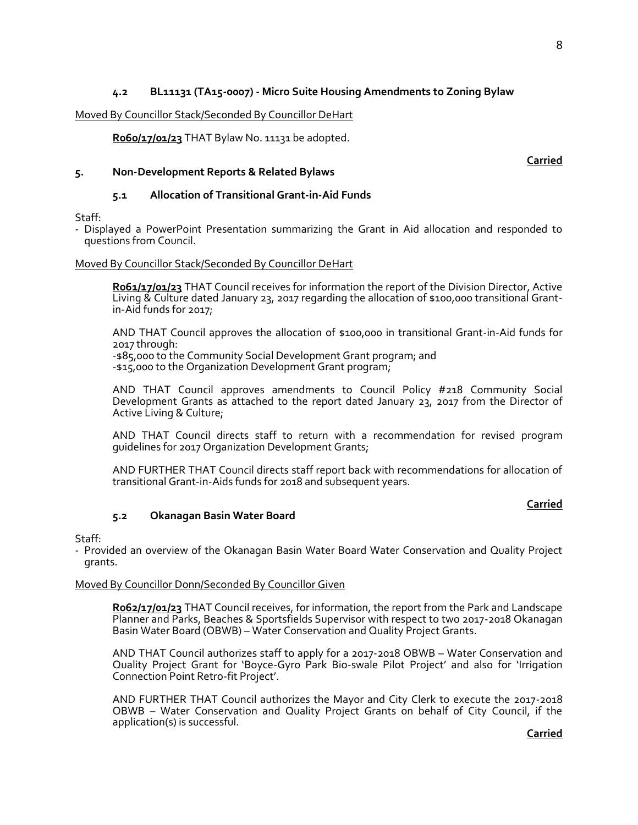# **4.2 BL11131 (TA15-0007) - Micro Suite Housing Amendments to Zoning Bylaw**

### Moved By Councillor Stack/Seconded By Councillor DeHart

**R060/17/01/23** THAT Bylaw No. 11131 be adopted.

**Carried**

# **5. Non-Development Reports & Related Bylaws**

# **5.1 Allocation of Transitional Grant-in-Aid Funds**

Staff:

- Displayed a PowerPoint Presentation summarizing the Grant in Aid allocation and responded to questions from Council.

#### Moved By Councillor Stack/Seconded By Councillor DeHart

**R061/17/01/23** THAT Council receives for information the report of the Division Director, Active Living & Culture dated January 23, 2017 regarding the allocation of \$100,000 transitional Grantin-Aid funds for 2017;

AND THAT Council approves the allocation of \$100,000 in transitional Grant-in-Aid funds for 2017 through:

-\$85,000 to the Community Social Development Grant program; and -\$15,000 to the Organization Development Grant program;

AND THAT Council approves amendments to Council Policy #218 Community Social Development Grants as attached to the report dated January  $23$ , 2017 from the Director of Active Living & Culture;

AND THAT Council directs staff to return with a recommendation for revised program guidelines for 2017 Organization Development Grants;

AND FURTHER THAT Council directs staff report back with recommendations for allocation of transitional Grant-in-Aids funds for 2018 and subsequent years.

### **Carried**

#### Staff:

- Provided an overview of the Okanagan Basin Water Board Water Conservation and Quality Project grants.

#### Moved By Councillor Donn/Seconded By Councillor Given

**5.2 Okanagan Basin Water Board**

**R062/17/01/23** THAT Council receives, for information, the report from the Park and Landscape Planner and Parks, Beaches & Sportsfields Supervisor with respect to two 2017-2018 Okanagan Basin Water Board (OBWB) – Water Conservation and Quality Project Grants.

AND THAT Council authorizes staff to apply for a 2017-2018 OBWB – Water Conservation and Quality Project Grant for 'Boyce-Gyro Park Bio-swale Pilot Project' and also for 'Irrigation Connection Point Retro-fit Project'.

AND FURTHER THAT Council authorizes the Mayor and City Clerk to execute the 2017-2018 OBWB – Water Conservation and Quality Project Grants on behalf of City Council, if the application(s) is successful.